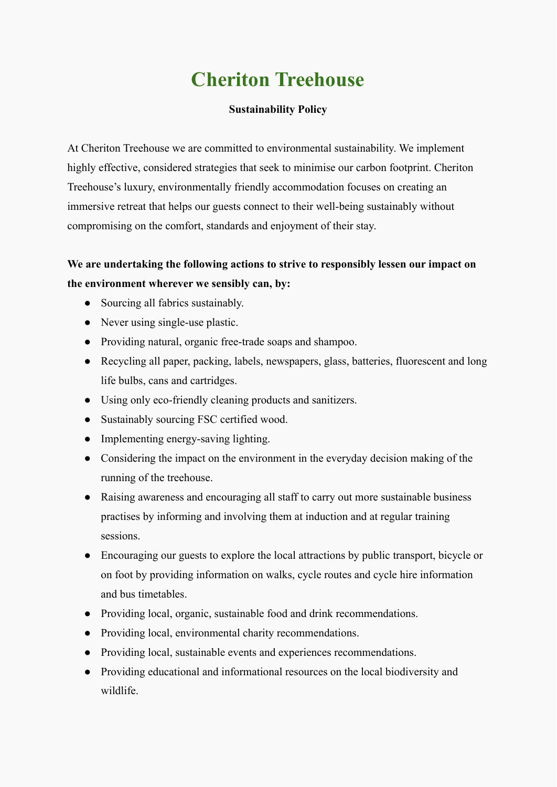# **Cheriton Treehouse**

# **Sustainability Policy**

At Cheriton Treehouse we are committed to environmental sustainability. We implement highly effective, considered strategies that seek to minimise our carbon footprint. Cheriton Treehouse's luxury, environmentally friendly accommodation focuses on creating an immersive retreat that helps our guests connect to their well-being sustainably without compromising on the comfort, standards and enjoyment of their stay.

# **We are undertaking the following actions to strive to responsibly lessen our impact on the environment wherever we sensibly can, by:**

- Sourcing all fabrics sustainably.
- Never using single-use plastic.
- Providing natural, organic free-trade soaps and shampoo.
- Recycling all paper, packing, labels, newspapers, glass, batteries, fluorescent and long life bulbs, cans and cartridges.
- Using only eco-friendly cleaning products and sanitizers.
- Sustainably sourcing FSC certified wood.
- Implementing energy-saving lighting.
- Considering the impact on the environment in the everyday decision making of the running of the treehouse.
- Raising awareness and encouraging all staff to carry out more sustainable business practises by informing and involving them at induction and at regular training sessions.
- Encouraging our guests to explore the local attractions by public transport, bicycle or on foot by providing information on walks, cycle routes and cycle hire information and bus timetables.
- Providing local, organic, sustainable food and drink recommendations.
- Providing local, environmental charity recommendations.
- Providing local, sustainable events and experiences recommendations.
- Providing educational and informational resources on the local biodiversity and wildlife.